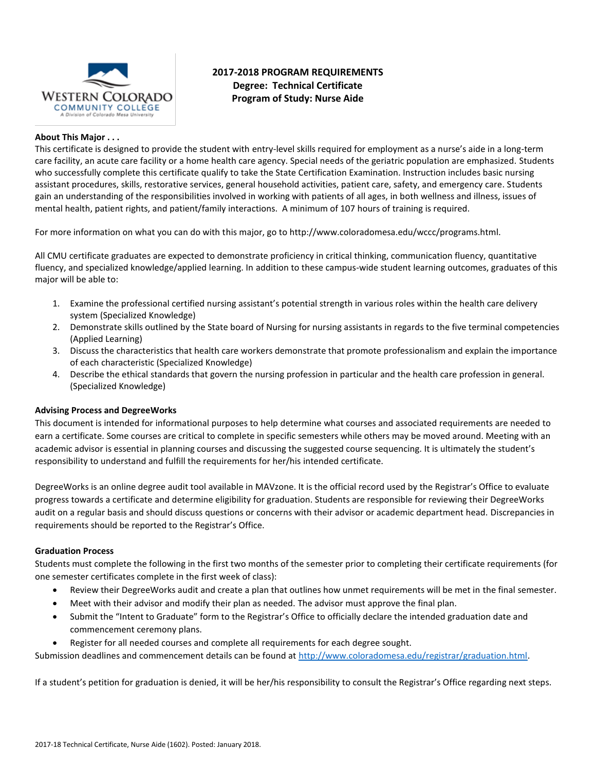

# **2017-2018 PROGRAM REQUIREMENTS Degree: Technical Certificate Program of Study: Nurse Aide**

## **About This Major . . .**

This certificate is designed to provide the student with entry-level skills required for employment as a nurse's aide in a long-term care facility, an acute care facility or a home health care agency. Special needs of the geriatric population are emphasized. Students who successfully complete this certificate qualify to take the State Certification Examination. Instruction includes basic nursing assistant procedures, skills, restorative services, general household activities, patient care, safety, and emergency care. Students gain an understanding of the responsibilities involved in working with patients of all ages, in both wellness and illness, issues of mental health, patient rights, and patient/family interactions. A minimum of 107 hours of training is required.

For more information on what you can do with this major, go to http://www.coloradomesa.edu/wccc/programs.html.

All CMU certificate graduates are expected to demonstrate proficiency in critical thinking, communication fluency, quantitative fluency, and specialized knowledge/applied learning. In addition to these campus-wide student learning outcomes, graduates of this major will be able to:

- 1. Examine the professional certified nursing assistant's potential strength in various roles within the health care delivery system (Specialized Knowledge)
- 2. Demonstrate skills outlined by the State board of Nursing for nursing assistants in regards to the five terminal competencies (Applied Learning)
- 3. Discuss the characteristics that health care workers demonstrate that promote professionalism and explain the importance of each characteristic (Specialized Knowledge)
- 4. Describe the ethical standards that govern the nursing profession in particular and the health care profession in general. (Specialized Knowledge)

### **Advising Process and DegreeWorks**

This document is intended for informational purposes to help determine what courses and associated requirements are needed to earn a certificate. Some courses are critical to complete in specific semesters while others may be moved around. Meeting with an academic advisor is essential in planning courses and discussing the suggested course sequencing. It is ultimately the student's responsibility to understand and fulfill the requirements for her/his intended certificate.

DegreeWorks is an online degree audit tool available in MAVzone. It is the official record used by the Registrar's Office to evaluate progress towards a certificate and determine eligibility for graduation. Students are responsible for reviewing their DegreeWorks audit on a regular basis and should discuss questions or concerns with their advisor or academic department head. Discrepancies in requirements should be reported to the Registrar's Office.

### **Graduation Process**

Students must complete the following in the first two months of the semester prior to completing their certificate requirements (for one semester certificates complete in the first week of class):

- Review their DegreeWorks audit and create a plan that outlines how unmet requirements will be met in the final semester.
- Meet with their advisor and modify their plan as needed. The advisor must approve the final plan.
- Submit the "Intent to Graduate" form to the Registrar's Office to officially declare the intended graduation date and commencement ceremony plans.
- Register for all needed courses and complete all requirements for each degree sought.

Submission deadlines and commencement details can be found at [http://www.coloradomesa.edu/registrar/graduation.html.](http://www.coloradomesa.edu/registrar/graduation.html)

If a student's petition for graduation is denied, it will be her/his responsibility to consult the Registrar's Office regarding next steps.